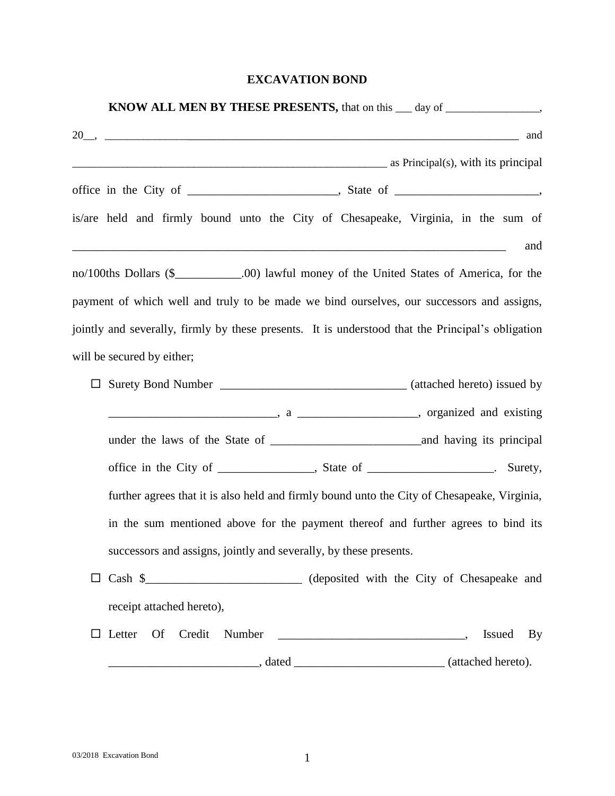## **EXCAVATION BOND**

| <b>KNOW ALL MEN BY THESE PRESENTS, that on this __ day of _________________________</b>                                                                                                                                                                                                  |
|------------------------------------------------------------------------------------------------------------------------------------------------------------------------------------------------------------------------------------------------------------------------------------------|
| $20$ , and and $20$ , $\frac{1}{20}$ and $\frac{1}{20}$ and $\frac{1}{20}$ and $\frac{1}{20}$ and $\frac{1}{20}$ and $\frac{1}{20}$ and $\frac{1}{20}$ and $\frac{1}{20}$ and $\frac{1}{20}$ and $\frac{1}{20}$ and $\frac{1}{20}$ and $\frac{1}{20}$ and $\frac{1}{20}$ and $\frac{1}{$ |
| as Principal(s), with its principal                                                                                                                                                                                                                                                      |
|                                                                                                                                                                                                                                                                                          |
| is/are held and firmly bound unto the City of Chesapeake, Virginia, in the sum of<br>and<br><u> 1989 - Johann Barn, mars ann an t-Amhain ann an t-Amhain ann an t-Amhain ann an t-Amhain an t-Amhain ann an t-</u>                                                                       |
| no/100ths Dollars (\$_____________.00) lawful money of the United States of America, for the                                                                                                                                                                                             |
| payment of which well and truly to be made we bind ourselves, our successors and assigns,                                                                                                                                                                                                |
| jointly and severally, firmly by these presents. It is understood that the Principal's obligation                                                                                                                                                                                        |
| will be secured by either;                                                                                                                                                                                                                                                               |
|                                                                                                                                                                                                                                                                                          |
|                                                                                                                                                                                                                                                                                          |
|                                                                                                                                                                                                                                                                                          |
|                                                                                                                                                                                                                                                                                          |
| further agrees that it is also held and firmly bound unto the City of Chesapeake, Virginia,                                                                                                                                                                                              |
| in the sum mentioned above for the payment thereof and further agrees to bind its                                                                                                                                                                                                        |
| successors and assigns, jointly and severally, by these presents.                                                                                                                                                                                                                        |
| □ Cash \$<br>Cash \$<br>Cash *                                                                                                                                                                                                                                                           |
| receipt attached hereto),                                                                                                                                                                                                                                                                |
| Of Credit<br>Letter<br>Number<br><u> 1989 - Jan James James James James James James James James James James James James James James James James J</u><br><b>Issued</b><br>By                                                                                                             |
|                                                                                                                                                                                                                                                                                          |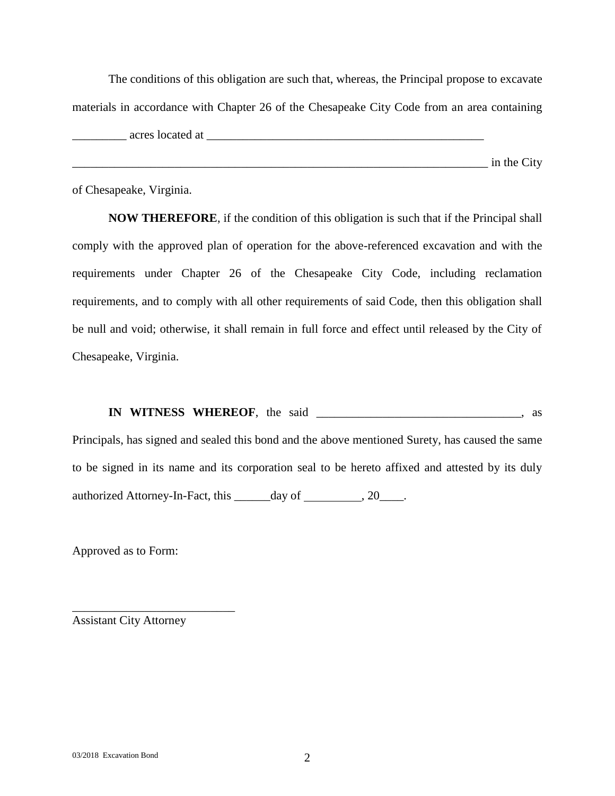The conditions of this obligation are such that, whereas, the Principal propose to excavate materials in accordance with Chapter 26 of the Chesapeake City Code from an area containing acres located at  $\overline{a}$ \_\_\_\_\_\_\_\_\_\_\_\_\_\_\_\_\_\_\_\_\_\_\_\_\_\_\_\_\_\_\_\_\_\_\_\_\_\_\_\_\_\_\_\_\_\_\_\_\_\_\_\_\_\_\_\_\_\_\_\_\_\_\_\_\_\_\_\_\_ in the City

of Chesapeake, Virginia.

**NOW THEREFORE**, if the condition of this obligation is such that if the Principal shall comply with the approved plan of operation for the above-referenced excavation and with the requirements under Chapter 26 of the Chesapeake City Code, including reclamation requirements, and to comply with all other requirements of said Code, then this obligation shall be null and void; otherwise, it shall remain in full force and effect until released by the City of Chesapeake, Virginia.

**IN WITNESS WHEREOF**, the said \_\_\_\_\_\_\_\_\_\_\_\_\_\_\_\_\_\_\_\_\_\_\_\_\_\_\_\_\_\_\_\_\_\_, as

Principals, has signed and sealed this bond and the above mentioned Surety, has caused the same to be signed in its name and its corporation seal to be hereto affixed and attested by its duly authorized Attorney-In-Fact, this \_\_\_\_\_\_day of \_\_\_\_\_\_\_\_, 20\_\_\_\_.

Approved as to Form:

Assistant City Attorney

\_\_\_\_\_\_\_\_\_\_\_\_\_\_\_\_\_\_\_\_\_\_\_\_\_\_\_